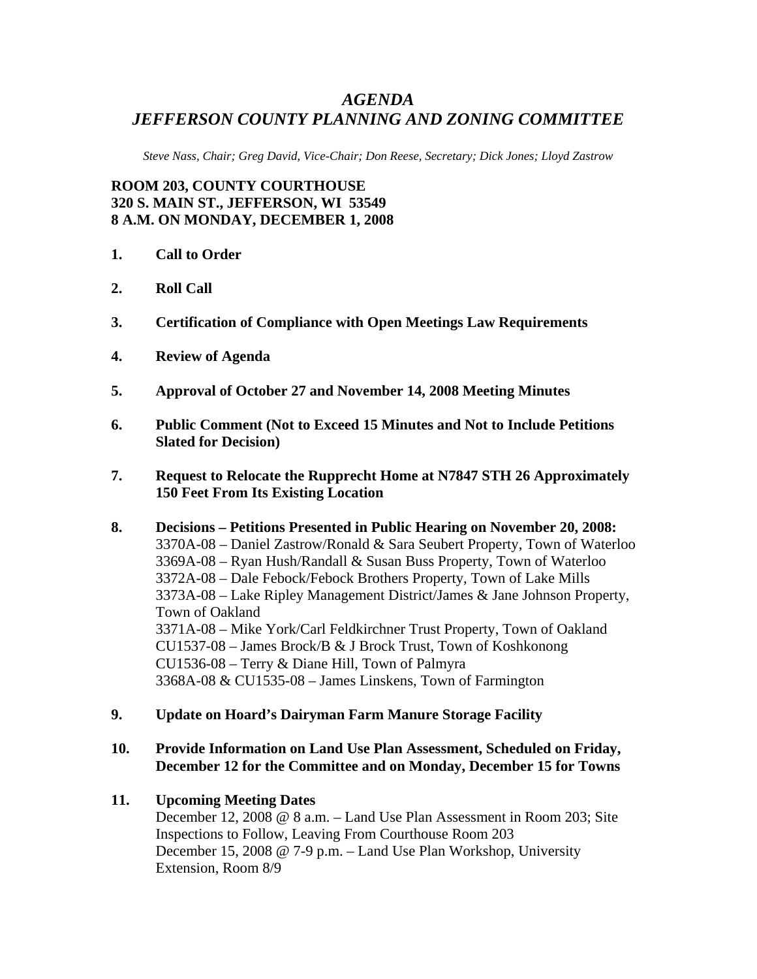## *AGENDA JEFFERSON COUNTY PLANNING AND ZONING COMMITTEE*

*Steve Nass, Chair; Greg David, Vice-Chair; Don Reese, Secretary; Dick Jones; Lloyd Zastrow* 

**ROOM 203, COUNTY COURTHOUSE 320 S. MAIN ST., JEFFERSON, WI 53549 8 A.M. ON MONDAY, DECEMBER 1, 2008** 

- **1. Call to Order**
- **2. Roll Call**
- **3. Certification of Compliance with Open Meetings Law Requirements**
- **4. Review of Agenda**
- **5. Approval of October 27 and November 14, 2008 Meeting Minutes**
- **6. Public Comment (Not to Exceed 15 Minutes and Not to Include Petitions Slated for Decision)**
- **7. Request to Relocate the Rupprecht Home at N7847 STH 26 Approximately 150 Feet From Its Existing Location**
- **8. Decisions Petitions Presented in Public Hearing on November 20, 2008:**  3370A-08 – Daniel Zastrow/Ronald & Sara Seubert Property, Town of Waterloo 3369A-08 – Ryan Hush/Randall & Susan Buss Property, Town of Waterloo 3372A-08 – Dale Febock/Febock Brothers Property, Town of Lake Mills 3373A-08 – Lake Ripley Management District/James & Jane Johnson Property, Town of Oakland 3371A-08 – Mike York/Carl Feldkirchner Trust Property, Town of Oakland CU1537-08 – James Brock/B & J Brock Trust, Town of Koshkonong CU1536-08 – Terry & Diane Hill, Town of Palmyra 3368A-08 & CU1535-08 – James Linskens, Town of Farmington
- **9. Update on Hoard's Dairyman Farm Manure Storage Facility**

## **10. Provide Information on Land Use Plan Assessment, Scheduled on Friday, December 12 for the Committee and on Monday, December 15 for Towns**

## **11. Upcoming Meeting Dates**

December 12, 2008 @ 8 a.m. – Land Use Plan Assessment in Room 203; Site Inspections to Follow, Leaving From Courthouse Room 203 December 15, 2008 @ 7-9 p.m. – Land Use Plan Workshop, University Extension, Room 8/9